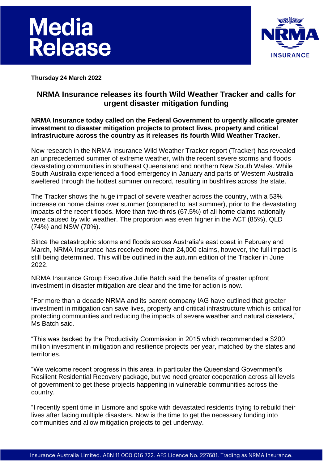



**Thursday 24 March 2022**

# **NRMA Insurance releases its fourth Wild Weather Tracker and calls for urgent disaster mitigation funding**

## **NRMA Insurance today called on the Federal Government to urgently allocate greater investment to disaster mitigation projects to protect lives, property and critical infrastructure across the country as it releases its fourth Wild Weather Tracker.**

New research in the NRMA Insurance Wild Weather Tracker report (Tracker) has revealed an unprecedented summer of extreme weather, with the recent severe storms and floods devastating communities in southeast Queensland and northern New South Wales. While South Australia experienced a flood emergency in January and parts of Western Australia sweltered through the hottest summer on record, resulting in bushfires across the state.

The Tracker shows the huge impact of severe weather across the country, with a 53% increase on home claims over summer (compared to last summer), prior to the devastating impacts of the recent floods. More than two-thirds (67.5%) of all home claims nationally were caused by wild weather. The proportion was even higher in the ACT (85%), QLD (74%) and NSW (70%).

Since the catastrophic storms and floods across Australia's east coast in February and March, NRMA Insurance has received more than 24,000 claims, however, the full impact is still being determined. This will be outlined in the autumn edition of the Tracker in June 2022.

NRMA Insurance Group Executive Julie Batch said the benefits of greater upfront investment in disaster mitigation are clear and the time for action is now.

"For more than a decade NRMA and its parent company IAG have outlined that greater investment in mitigation can save lives, property and critical infrastructure which is critical for protecting communities and reducing the impacts of severe weather and natural disasters," Ms Batch said.

"This was backed by the Productivity Commission in 2015 which recommended a \$200 million investment in mitigation and resilience projects per year, matched by the states and territories.

"We welcome recent progress in this area, in particular the Queensland Government's Resilient Residential Recovery package, but we need greater cooperation across all levels of government to get these projects happening in vulnerable communities across the country.

"I recently spent time in Lismore and spoke with devastated residents trying to rebuild their lives after facing multiple disasters. Now is the time to get the necessary funding into communities and allow mitigation projects to get underway.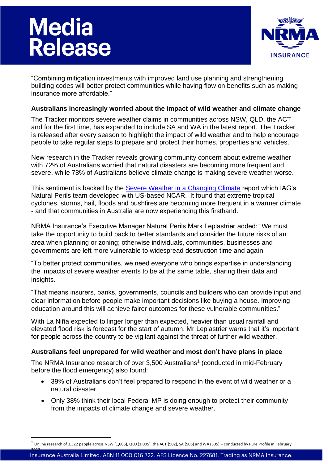# **Media<br>Release**



"Combining mitigation investments with improved land use planning and strengthening building codes will better protect communities while having flow on benefits such as making insurance more affordable."

## **Australians increasingly worried about the impact of wild weather and climate change**

The Tracker monitors severe weather claims in communities across NSW, QLD, the ACT and for the first time, has expanded to include SA and WA in the latest report. The Tracker is released after every season to highlight the impact of wild weather and to help encourage people to take regular steps to prepare and protect their homes, properties and vehicles.

New research in the Tracker reveals growing community concern about extreme weather with 72% of Australians worried that natural disasters are becoming more frequent and severe, while 78% of Australians believe climate change is making severe weather worse.

This sentiment is backed by the [Severe Weather in a Changing Climate](https://www.iag.com.au/sites/default/files/Documents/Climate%20action/Severe-weather-in-a-changing-climate-2nd-Edition.pdf) report which IAG's Natural Perils team developed with US-based NCAR. It found that extreme tropical cyclones, storms, hail, floods and bushfires are becoming more frequent in a warmer climate - and that communities in Australia are now experiencing this firsthand.

NRMA Insurance's Executive Manager Natural Perils Mark Leplastrier added: "We must take the opportunity to build back to better standards and consider the future risks of an area when planning or zoning; otherwise individuals, communities, businesses and governments are left more vulnerable to widespread destruction time and again.

"To better protect communities, we need everyone who brings expertise in understanding the impacts of severe weather events to be at the same table, sharing their data and insights.

"That means insurers, banks, governments, councils and builders who can provide input and clear information before people make important decisions like buying a house. Improving education around this will achieve fairer outcomes for these vulnerable communities."

With La Niña expected to linger longer than expected, heavier than usual rainfall and elevated flood risk is forecast for the start of autumn. Mr Leplastrier warns that it's important for people across the country to be vigilant against the threat of further wild weather.

# **Australians feel unprepared for wild weather and most don't have plans in place**

The NRMA Insurance research of over 3,500 Australians<sup>1</sup> (conducted in mid-February before the flood emergency) also found:

- 39% of Australians don't feel prepared to respond in the event of wild weather or a natural disaster.
- Only 38% think their local Federal MP is doing enough to protect their community from the impacts of climate change and severe weather.

 $1$  Online research of 3,522 people across NSW (1,005), QLD (1,005), the ACT (502), SA (505) and WA (505) – conducted by Pure Profile in February